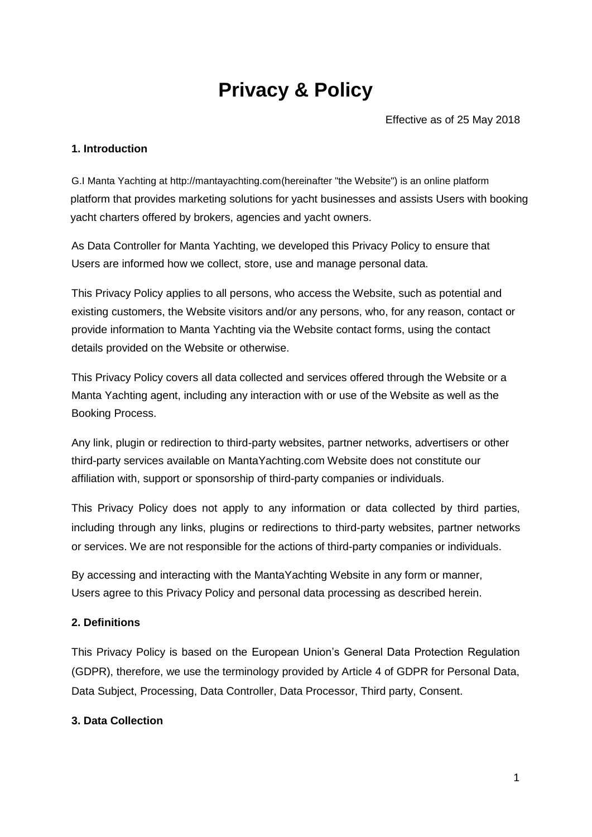# **Privacy & Policy**

#### **1. Introduction**

G.I Manta Yachting at [http://mantayachting.com\(](http://mantayachting.com/)hereinafter "the Website") is an online platform platform that provides marketing solutions for yacht businesses and assists Users with booking yacht charters offered by brokers, agencies and yacht owners.

As Data Controller for Manta Yachting, we developed this Privacy Policy to ensure that Users are informed how we collect, store, use and manage personal data.

This Privacy Policy applies to all persons, who access the Website, such as potential and existing customers, the Website visitors and/or any persons, who, for any reason, contact or provide information to Manta Yachting via the Website contact forms, using the contact details provided on the Website or otherwise.

This Privacy Policy covers all data collected and services offered through the Website or a Manta Yachting agent, including any interaction with or use of the Website as well as the Booking Process.

Any link, plugin or redirection to third-party websites, partner networks, advertisers or other third-party services available on MantaYachting.com Website does not constitute our affiliation with, support or sponsorship of third-party companies or individuals.

This Privacy Policy does not apply to any information or data collected by third parties, including through any links, plugins or redirections to third-party websites, partner networks or services. We are not responsible for the actions of third-party companies or individuals.

By accessing and interacting with the MantaYachting Website in any form or manner, Users agree to this Privacy Policy and personal data processing as described herein.

#### **2. Definitions**

This Privacy Policy is based on the European Union's General Data Protection Regulation (GDPR), therefore, we use the terminology provided by Article 4 of GDPR for Personal Data, Data Subject, Processing, Data Controller, Data Processor, Third party, Consent.

## **3. Data Collection**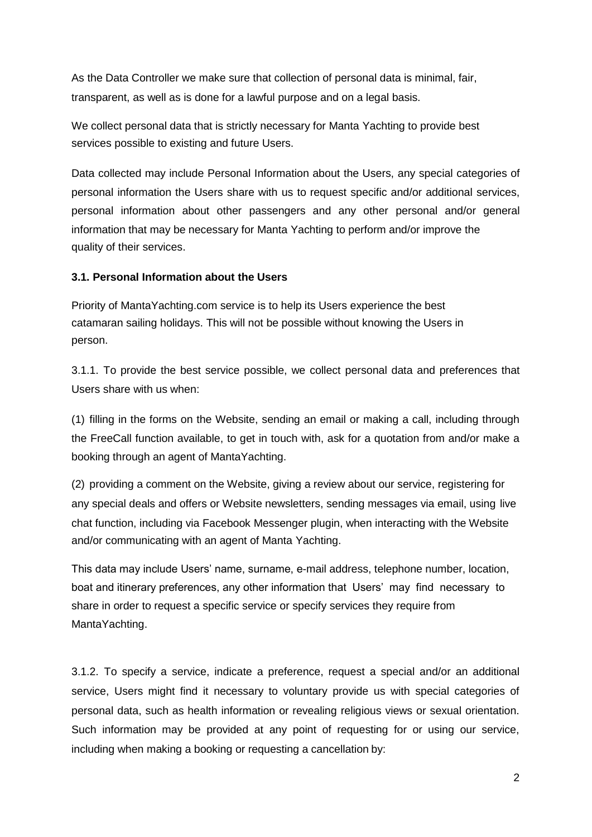As the Data Controller we make sure that collection of personal data is minimal, fair, transparent, as well as is done for a lawful purpose and on a legal basis.

We collect personal data that is strictly necessary for Manta Yachting to provide best services possible to existing and future Users.

Data collected may include Personal Information about the Users, any special categories of personal information the Users share with us to request specific and/or additional services, personal information about other passengers and any other personal and/or general information that may be necessary for Manta Yachting to perform and/or improve the quality of their services.

## **3.1. Personal Information about the Users**

Priority of MantaYachting.com service is to help its Users experience the best catamaran sailing holidays. This will not be possible without knowing the Users in person.

3.1.1. To provide the best service possible, we collect personal data and preferences that Users share with us when:

(1) filling in the forms on the Website, sending an email or making a call, including through the FreeCall function available, to get in touch with, ask for a quotation from and/or make a booking through an agent of MantaYachting.

(2) providing a comment on the Website, giving a review about our service, registering for any special deals and offers or Website newsletters, sending messages via email, using live chat function, including via Facebook Messenger plugin, when interacting with the Website and/or communicating with an agent of Manta Yachting.

This data may include Users' name, surname, e-mail address, telephone number, location, boat and itinerary preferences, any other information that Users' may find necessary to share in order to request a specific service or specify services they require from MantaYachting.

3.1.2. To specify a service, indicate a preference, request a special and/or an additional service, Users might find it necessary to voluntary provide us with special categories of personal data, such as health information or revealing religious views or sexual orientation. Such information may be provided at any point of requesting for or using our service, including when making a booking or requesting a cancellation by: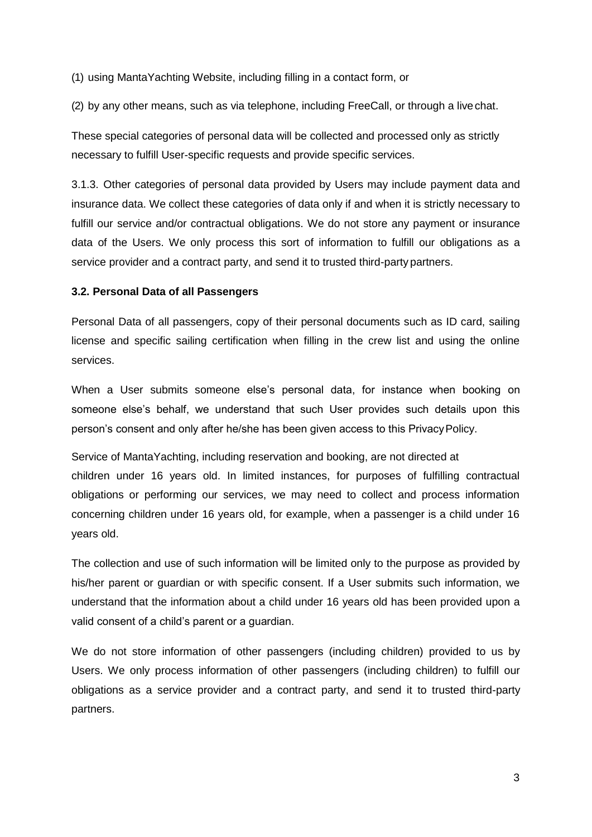(1) using MantaYachting Website, including filling in a contact form, or

(2) by any other means, such as via telephone, including FreeCall, or through a livechat.

These special categories of personal data will be collected and processed only as strictly necessary to fulfill User-specific requests and provide specific services.

3.1.3. Other categories of personal data provided by Users may include payment data and insurance data. We collect these categories of data only if and when it is strictly necessary to fulfill our service and/or contractual obligations. We do not store any payment or insurance data of the Users. We only process this sort of information to fulfill our obligations as a service provider and a contract party, and send it to trusted third-party partners.

### **3.2. Personal Data of all Passengers**

Personal Data of all passengers, copy of their personal documents such as ID card, sailing license and specific sailing certification when filling in the crew list and using the online services.

When a User submits someone else's personal data, for instance when booking on someone else's behalf, we understand that such User provides such details upon this person's consent and only after he/she has been given access to this PrivacyPolicy.

Service of MantaYachting, including reservation and booking, are not directed at children under 16 years old. In limited instances, for purposes of fulfilling contractual obligations or performing our services, we may need to collect and process information concerning children under 16 years old, for example, when a passenger is a child under 16 years old.

The collection and use of such information will be limited only to the purpose as provided by his/her parent or guardian or with specific consent. If a User submits such information, we understand that the information about a child under 16 years old has been provided upon a valid consent of a child's parent or a guardian.

We do not store information of other passengers (including children) provided to us by Users. We only process information of other passengers (including children) to fulfill our obligations as a service provider and a contract party, and send it to trusted third-party partners.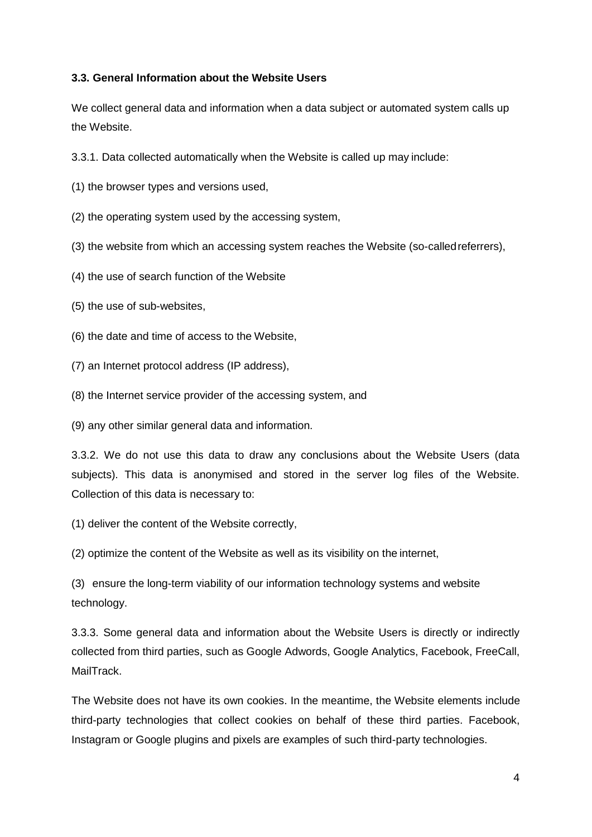#### **3.3. General Information about the Website Users**

We collect general data and information when a data subject or automated system calls up the Website.

3.3.1. Data collected automatically when the Website is called up may include:

- (1) the browser types and versions used,
- (2) the operating system used by the accessing system,
- (3) the website from which an accessing system reaches the Website (so-calledreferrers),
- (4) the use of search function of the Website
- (5) the use of sub-websites,
- (6) the date and time of access to the Website,
- (7) an Internet protocol address (IP address),
- (8) the Internet service provider of the accessing system, and
- (9) any other similar general data and information.

3.3.2. We do not use this data to draw any conclusions about the Website Users (data subjects). This data is anonymised and stored in the server log files of the Website. Collection of this data is necessary to:

(1) deliver the content of the Website correctly,

(2) optimize the content of the Website as well as its visibility on the internet,

(3) ensure the long-term viability of our information technology systems and website technology.

3.3.3. Some general data and information about the Website Users is directly or indirectly collected from third parties, such as Google Adwords, Google Analytics, Facebook, FreeCall, MailTrack.

The Website does not have its own cookies. In the meantime, the Website elements include third-party technologies that collect cookies on behalf of these third parties. Facebook, Instagram or Google plugins and pixels are examples of such third-party technologies.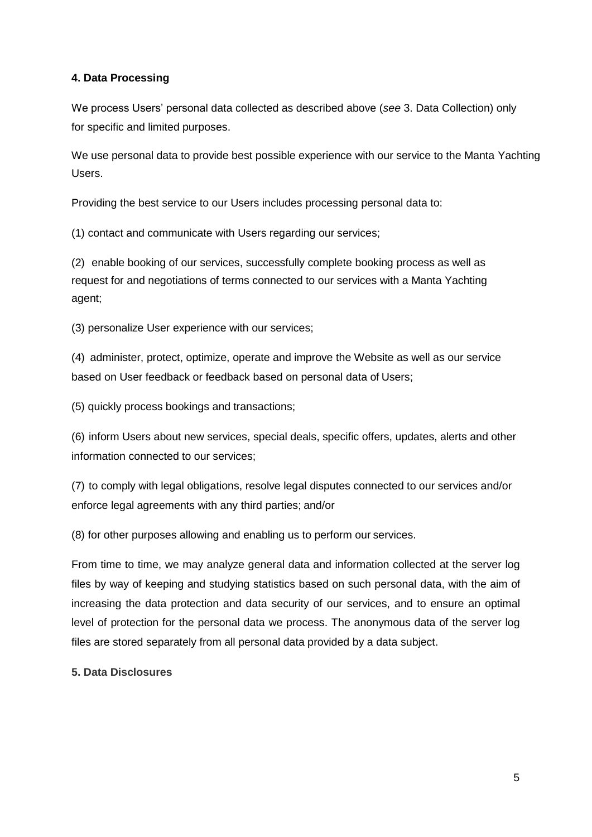### **4. Data Processing**

We process Users' personal data collected as described above (*see* 3. Data Collection) only for specific and limited purposes.

We use personal data to provide best possible experience with our service to the Manta Yachting Users.

Providing the best service to our Users includes processing personal data to:

(1) contact and communicate with Users regarding our services;

(2) enable booking of our services, successfully complete booking process as well as request for and negotiations of terms connected to our services with a Manta Yachting agent;

(3) personalize User experience with our services;

(4) administer, protect, optimize, operate and improve the Website as well as our service based on User feedback or feedback based on personal data of Users;

(5) quickly process bookings and transactions;

(6) inform Users about new services, special deals, specific offers, updates, alerts and other information connected to our services;

(7) to comply with legal obligations, resolve legal disputes connected to our services and/or enforce legal agreements with any third parties; and/or

(8) for other purposes allowing and enabling us to perform our services.

From time to time, we may analyze general data and information collected at the server log files by way of keeping and studying statistics based on such personal data, with the aim of increasing the data protection and data security of our services, and to ensure an optimal level of protection for the personal data we process. The anonymous data of the server log files are stored separately from all personal data provided by a data subject.

**5. Data Disclosures**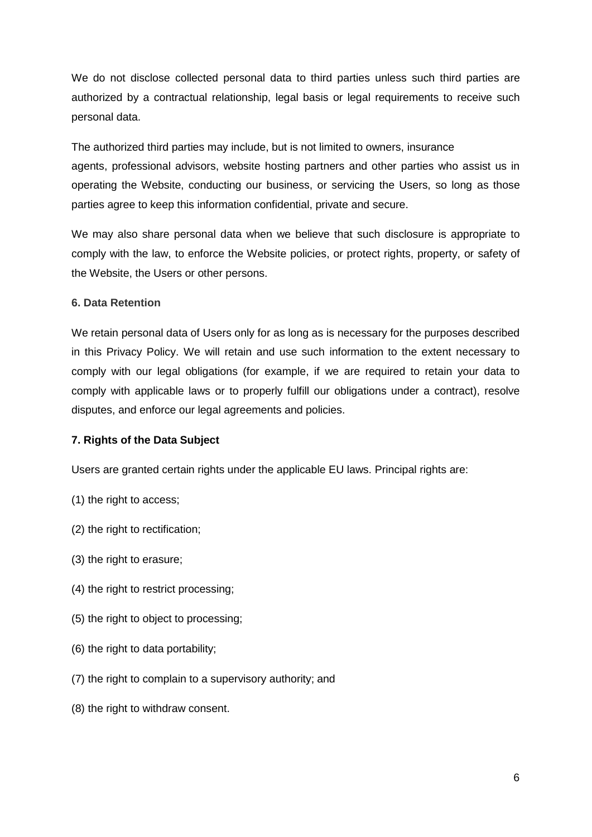We do not disclose collected personal data to third parties unless such third parties are authorized by a contractual relationship, legal basis or legal requirements to receive such personal data.

The authorized third parties may include, but is not limited to owners, insurance agents, professional advisors, website hosting partners and other parties who assist us in operating the Website, conducting our business, or servicing the Users, so long as those parties agree to keep this information confidential, private and secure.

We may also share personal data when we believe that such disclosure is appropriate to comply with the law, to enforce the Website policies, or protect rights, property, or safety of the Website, the Users or other persons.

#### **6. Data Retention**

We retain personal data of Users only for as long as is necessary for the purposes described in this Privacy Policy. We will retain and use such information to the extent necessary to comply with our legal obligations (for example, if we are required to retain your data to comply with applicable laws or to properly fulfill our obligations under a contract), resolve disputes, and enforce our legal agreements and policies.

## **7. Rights of the Data Subject**

Users are granted certain rights under the applicable EU laws. Principal rights are:

- (1) the right to access;
- (2) the right to rectification;
- (3) the right to erasure;
- (4) the right to restrict processing;
- (5) the right to object to processing;
- (6) the right to data portability;
- (7) the right to complain to a supervisory authority; and
- (8) the right to withdraw consent.